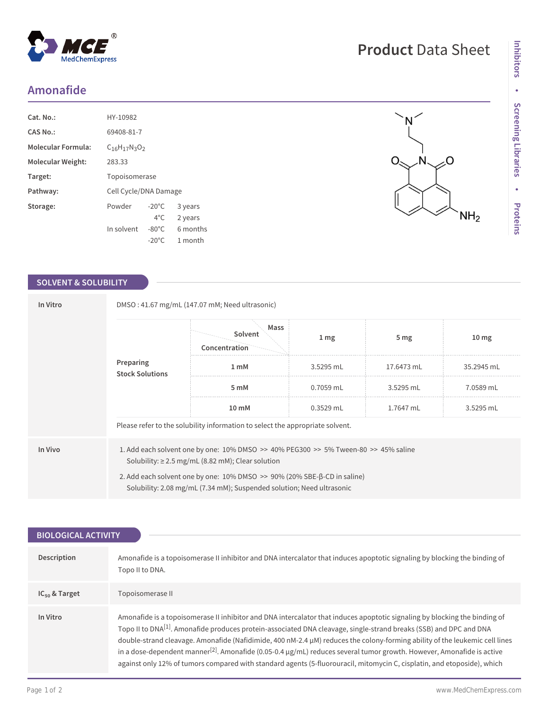## **Amonafide**

| $Cat. No.$ :              | HY-10982                 |                 |          |
|---------------------------|--------------------------|-----------------|----------|
| CAS No.:                  | 69408-81-7               |                 |          |
| <b>Molecular Formula:</b> | $C_{16}H_{17}N_{3}O_{2}$ |                 |          |
| Molecular Weight:         | 283.33                   |                 |          |
| Target:                   | Topoisomerase            |                 |          |
| Pathway:                  | Cell Cycle/DNA Damage    |                 |          |
| Storage:                  | Powder                   | $-20^{\circ}$ C | 3 years  |
|                           |                          | $4^{\circ}$ C.  | 2 years  |
|                           | In solvent               | $-80^{\circ}$ C | 6 months |
|                           |                          | $-20^{\circ}$ C | 1 month  |

 $^{\circledR}$ 

MedChemExpress

### **SOLVENT & SOLUBILITY**

| In Vitro |                                                                                                                                                              | DMSO: 41.67 mg/mL (147.07 mM; Need ultrasonic) |                  |                 |                  |  |  |
|----------|--------------------------------------------------------------------------------------------------------------------------------------------------------------|------------------------------------------------|------------------|-----------------|------------------|--|--|
|          | Preparing<br><b>Stock Solutions</b>                                                                                                                          | Mass<br>Solvent<br>Concentration               | $1 \, \text{mg}$ | 5 <sub>mg</sub> | 10 <sub>mg</sub> |  |  |
|          |                                                                                                                                                              | 1 mM                                           | 3.5295 mL        | 17.6473 mL      | 35.2945 mL       |  |  |
|          |                                                                                                                                                              | 5 mM                                           | $0.7059$ mL      | 3.5295 mL       | 7.0589 mL        |  |  |
|          |                                                                                                                                                              | 10 mM                                          | $0.3529$ mL      | 1.7647 mL       | 3.5295 mL        |  |  |
|          | Please refer to the solubility information to select the appropriate solvent.                                                                                |                                                |                  |                 |                  |  |  |
| In Vivo  | 1. Add each solvent one by one: $10\%$ DMSO $\geq$ 40% PEG300 $\geq$ 5% Tween-80 $\geq$ 45% saline<br>Solubility: $\geq$ 2.5 mg/mL (8.82 mM); Clear solution |                                                |                  |                 |                  |  |  |
|          | 2. Add each solvent one by one: 10% DMSO >> 90% (20% SBE-β-CD in saline)<br>Solubility: 2.08 mg/mL (7.34 mM); Suspended solution; Need ultrasonic            |                                                |                  |                 |                  |  |  |

| <b>BIOLOGICAL ACTIVITY</b> |                                                                                                                                                                                                                                                                                                                                                                                                                                                                                                                                                                                                                                                                  |  |  |  |
|----------------------------|------------------------------------------------------------------------------------------------------------------------------------------------------------------------------------------------------------------------------------------------------------------------------------------------------------------------------------------------------------------------------------------------------------------------------------------------------------------------------------------------------------------------------------------------------------------------------------------------------------------------------------------------------------------|--|--|--|
|                            |                                                                                                                                                                                                                                                                                                                                                                                                                                                                                                                                                                                                                                                                  |  |  |  |
| Description                | Amonafide is a topoisomerase II inhibitor and DNA intercalator that induces apoptotic signaling by blocking the binding of<br>Topo II to DNA.                                                                                                                                                                                                                                                                                                                                                                                                                                                                                                                    |  |  |  |
| $IC_{50}$ & Target         | Topoisomerase II                                                                                                                                                                                                                                                                                                                                                                                                                                                                                                                                                                                                                                                 |  |  |  |
| In Vitro                   | Amonafide is a topoisomerase II inhibitor and DNA intercalator that induces apoptotic signaling by blocking the binding of<br>Topo II to DNA <sup>[1]</sup> . Amonafide produces protein-associated DNA cleavage, single-strand breaks (SSB) and DPC and DNA<br>double-strand cleavage. Amonafide (Nafidimide, 400 nM-2.4 µM) reduces the colony-forming ability of the leukemic cell lines<br>in a dose-dependent manner <sup>[2]</sup> . Amonafide (0.05-0.4 $\mu$ g/mL) reduces several tumor growth. However, Amonafide is active<br>against only 12% of tumors compared with standard agents (5-fluorouracil, mitomycin C, cisplatin, and etoposide), which |  |  |  |

# **Product** Data Sheet

 $\overline{\mathsf{N}}$ 

N.

ζŌ

 $NH<sub>2</sub>$ 

 $O_{\leq}$